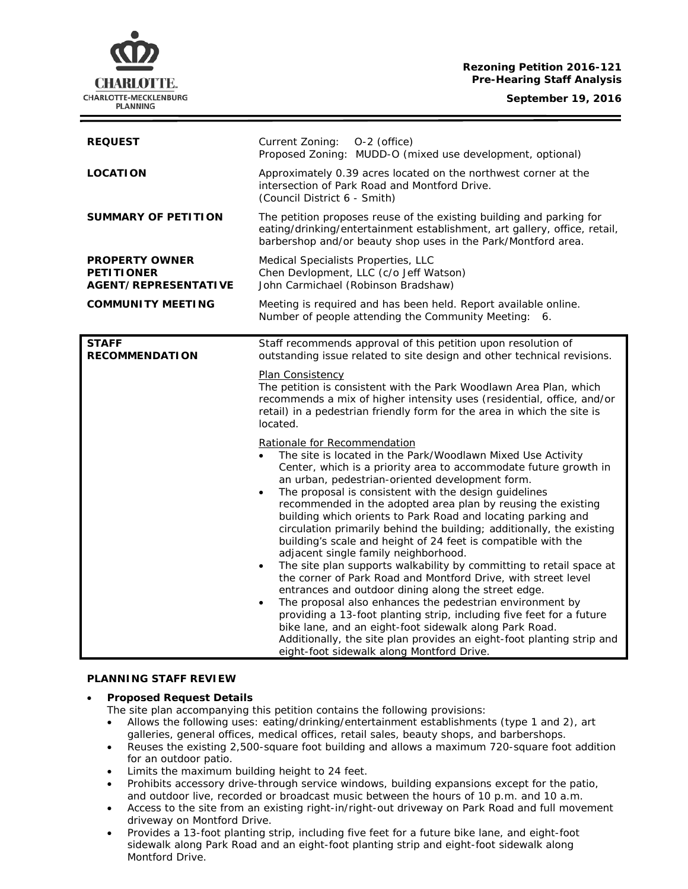# **Rezoning Petition 2016-121 Pre-Hearing Staff Analysis**

**September 19, 2016**



| <b>REQUEST</b>                                                            | Current Zoning:<br>O-2 (office)<br>Proposed Zoning: MUDD-O (mixed use development, optional)                                                                                                                                                                                                                                                                                                                                                                                                                                                                                                                                                                                                                                                                                                                                                                                                                                                                                                                                                                                                                                                                                                                                                                                                                                                                                                                                                                                                                                                                          |
|---------------------------------------------------------------------------|-----------------------------------------------------------------------------------------------------------------------------------------------------------------------------------------------------------------------------------------------------------------------------------------------------------------------------------------------------------------------------------------------------------------------------------------------------------------------------------------------------------------------------------------------------------------------------------------------------------------------------------------------------------------------------------------------------------------------------------------------------------------------------------------------------------------------------------------------------------------------------------------------------------------------------------------------------------------------------------------------------------------------------------------------------------------------------------------------------------------------------------------------------------------------------------------------------------------------------------------------------------------------------------------------------------------------------------------------------------------------------------------------------------------------------------------------------------------------------------------------------------------------------------------------------------------------|
| <b>LOCATION</b>                                                           | Approximately 0.39 acres located on the northwest corner at the<br>intersection of Park Road and Montford Drive.<br>(Council District 6 - Smith)                                                                                                                                                                                                                                                                                                                                                                                                                                                                                                                                                                                                                                                                                                                                                                                                                                                                                                                                                                                                                                                                                                                                                                                                                                                                                                                                                                                                                      |
| <b>SUMMARY OF PETITION</b>                                                | The petition proposes reuse of the existing building and parking for<br>eating/drinking/entertainment establishment, art gallery, office, retail,<br>barbershop and/or beauty shop uses in the Park/Montford area.                                                                                                                                                                                                                                                                                                                                                                                                                                                                                                                                                                                                                                                                                                                                                                                                                                                                                                                                                                                                                                                                                                                                                                                                                                                                                                                                                    |
| <b>PROPERTY OWNER</b><br><b>PETITIONER</b><br><b>AGENT/REPRESENTATIVE</b> | Medical Specialists Properties, LLC<br>Chen Devlopment, LLC (c/o Jeff Watson)<br>John Carmichael (Robinson Bradshaw)                                                                                                                                                                                                                                                                                                                                                                                                                                                                                                                                                                                                                                                                                                                                                                                                                                                                                                                                                                                                                                                                                                                                                                                                                                                                                                                                                                                                                                                  |
| <b>COMMUNITY MEETING</b>                                                  | Meeting is required and has been held. Report available online.<br>Number of people attending the Community Meeting: 6.                                                                                                                                                                                                                                                                                                                                                                                                                                                                                                                                                                                                                                                                                                                                                                                                                                                                                                                                                                                                                                                                                                                                                                                                                                                                                                                                                                                                                                               |
| <b>STAFF</b><br><b>RECOMMENDATION</b>                                     | Staff recommends approval of this petition upon resolution of<br>outstanding issue related to site design and other technical revisions.<br><b>Plan Consistency</b><br>The petition is consistent with the Park Woodlawn Area Plan, which<br>recommends a mix of higher intensity uses (residential, office, and/or<br>retail) in a pedestrian friendly form for the area in which the site is<br>located.<br>Rationale for Recommendation<br>The site is located in the Park/Woodlawn Mixed Use Activity<br>Center, which is a priority area to accommodate future growth in<br>an urban, pedestrian-oriented development form.<br>The proposal is consistent with the design guidelines<br>$\bullet$<br>recommended in the adopted area plan by reusing the existing<br>building which orients to Park Road and locating parking and<br>circulation primarily behind the building; additionally, the existing<br>building's scale and height of 24 feet is compatible with the<br>adjacent single family neighborhood.<br>The site plan supports walkability by committing to retail space at<br>$\bullet$<br>the corner of Park Road and Montford Drive, with street level<br>entrances and outdoor dining along the street edge.<br>The proposal also enhances the pedestrian environment by<br>$\bullet$<br>providing a 13-foot planting strip, including five feet for a future<br>bike lane, and an eight-foot sidewalk along Park Road.<br>Additionally, the site plan provides an eight-foot planting strip and<br>eight-foot sidewalk along Montford Drive. |

# **PLANNING STAFF REVIEW**

# • **Proposed Request Details**

The site plan accompanying this petition contains the following provisions:

- Allows the following uses: eating/drinking/entertainment establishments (type 1 and 2), art galleries, general offices, medical offices, retail sales, beauty shops, and barbershops.
- Reuses the existing 2,500-square foot building and allows a maximum 720-square foot addition for an outdoor patio.
- Limits the maximum building height to 24 feet.
- Prohibits accessory drive-through service windows, building expansions except for the patio, and outdoor live, recorded or broadcast music between the hours of 10 p.m. and 10 a.m.
- Access to the site from an existing right-in/right-out driveway on Park Road and full movement driveway on Montford Drive.
- Provides a 13-foot planting strip, including five feet for a future bike lane, and eight-foot sidewalk along Park Road and an eight-foot planting strip and eight-foot sidewalk along Montford Drive.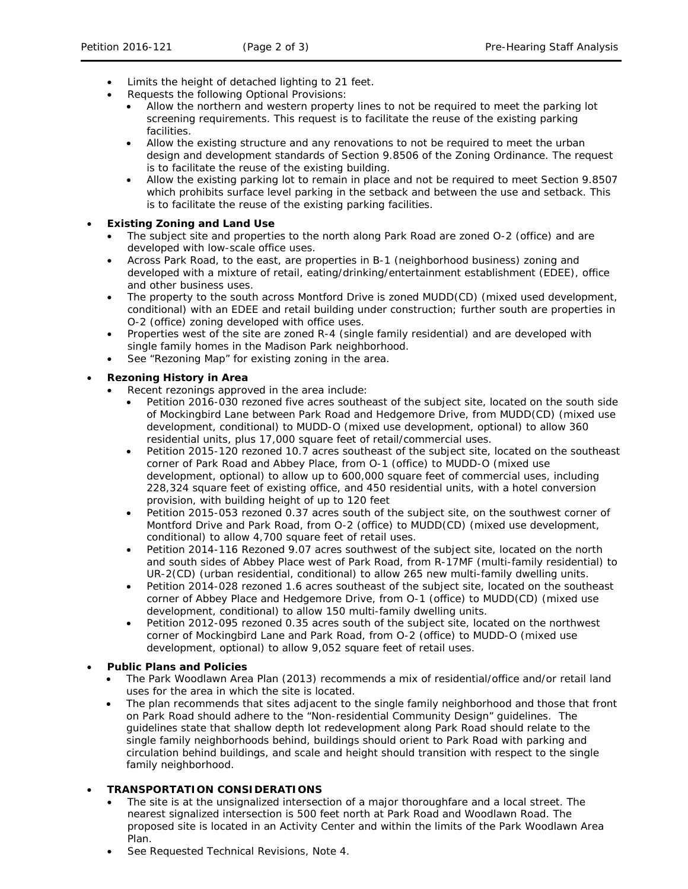- Limits the height of detached lighting to 21 feet.
- Requests the following Optional Provisions:
	- Allow the northern and western property lines to not be required to meet the parking lot screening requirements. This request is to facilitate the reuse of the existing parking facilities.
	- Allow the existing structure and any renovations to not be required to meet the urban design and development standards of Section 9.8506 of the Zoning Ordinance. The request is to facilitate the reuse of the existing building.
	- Allow the existing parking lot to remain in place and not be required to meet Section 9.8507 which prohibits surface level parking in the setback and between the use and setback. This is to facilitate the reuse of the existing parking facilities.

#### • **Existing Zoning and Land Use**

- The subject site and properties to the north along Park Road are zoned O-2 (office) and are developed with low-scale office uses.
- Across Park Road, to the east, are properties in B-1 (neighborhood business) zoning and developed with a mixture of retail, eating/drinking/entertainment establishment (EDEE), office and other business uses.
- The property to the south across Montford Drive is zoned MUDD(CD) (mixed used development, conditional) with an EDEE and retail building under construction; further south are properties in O-2 (office) zoning developed with office uses.
- Properties west of the site are zoned R-4 (single family residential) and are developed with single family homes in the Madison Park neighborhood.
- See "Rezoning Map" for existing zoning in the area.

# • **Rezoning History in Area**

- Recent rezonings approved in the area include:
	- Petition 2016-030 rezoned five acres southeast of the subject site, located on the south side of Mockingbird Lane between Park Road and Hedgemore Drive, from MUDD(CD) (mixed use development, conditional) to MUDD-O (mixed use development, optional) to allow 360 residential units, plus 17,000 square feet of retail/commercial uses.
	- Petition 2015-120 rezoned 10.7 acres southeast of the subject site, located on the southeast corner of Park Road and Abbey Place, from O-1 (office) to MUDD-O (mixed use development, optional) to allow up to 600,000 square feet of commercial uses, including 228,324 square feet of existing office, and 450 residential units, with a hotel conversion provision, with building height of up to 120 feet
	- Petition 2015-053 rezoned 0.37 acres south of the subject site, on the southwest corner of Montford Drive and Park Road, from O-2 (office) to MUDD(CD) (mixed use development, conditional) to allow 4,700 square feet of retail uses.
	- Petition 2014-116 Rezoned 9.07 acres southwest of the subject site, located on the north and south sides of Abbey Place west of Park Road, from R-17MF (multi-family residential) to UR-2(CD) (urban residential, conditional) to allow 265 new multi-family dwelling units.
	- Petition 2014-028 rezoned 1.6 acres southeast of the subject site, located on the southeast corner of Abbey Place and Hedgemore Drive, from O-1 (office) to MUDD(CD) (mixed use development, conditional) to allow 150 multi-family dwelling units.
	- Petition 2012-095 rezoned 0.35 acres south of the subject site, located on the northwest corner of Mockingbird Lane and Park Road, from O-2 (office) to MUDD-O (mixed use development, optional) to allow 9,052 square feet of retail uses.

# • **Public Plans and Policies**

- The *Park Woodlawn Area Plan* (2013) recommends a mix of residential/office and/or retail land uses for the area in which the site is located.
- The plan recommends that sites adjacent to the single family neighborhood and those that front on Park Road should adhere to the "Non-residential Community Design" guidelines. The guidelines state that shallow depth lot redevelopment along Park Road should relate to the single family neighborhoods behind, buildings should orient to Park Road with parking and circulation behind buildings, and scale and height should transition with respect to the single family neighborhood.

# • **TRANSPORTATION CONSIDERATIONS**

- The site is at the unsignalized intersection of a major thoroughfare and a local street. The nearest signalized intersection is 500 feet north at Park Road and Woodlawn Road. The proposed site is located in an Activity Center and within the limits of the *Park Woodlawn Area Plan*.
- See Requested Technical Revisions, Note 4.